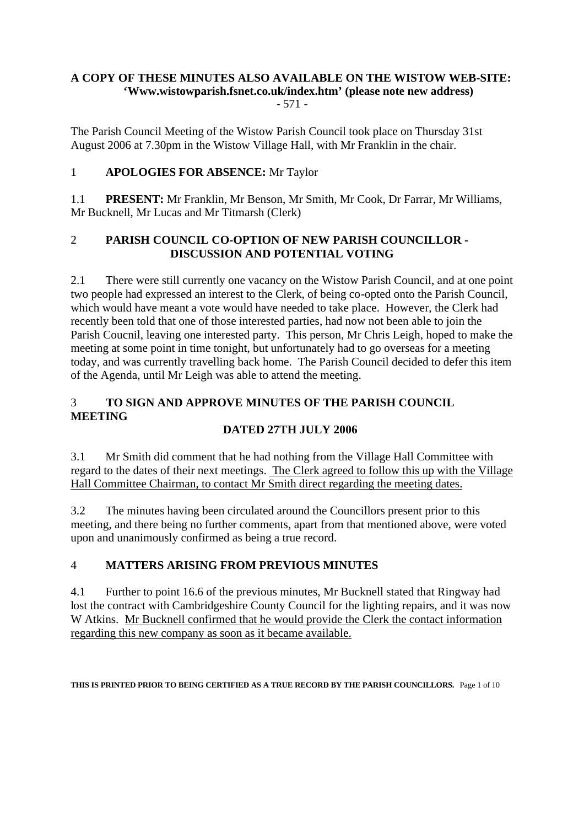#### **A COPY OF THESE MINUTES ALSO AVAILABLE ON THE WISTOW WEB-SITE: 'Www.wistowparish.fsnet.co.uk/index.htm' (please note new address)** - 571 -

The Parish Council Meeting of the Wistow Parish Council took place on Thursday 31st August 2006 at 7.30pm in the Wistow Village Hall, with Mr Franklin in the chair.

## 1 **APOLOGIES FOR ABSENCE:** Mr Taylor

1.1 **PRESENT:** Mr Franklin, Mr Benson, Mr Smith, Mr Cook, Dr Farrar, Mr Williams, Mr Bucknell, Mr Lucas and Mr Titmarsh (Clerk)

#### 2 **PARISH COUNCIL CO-OPTION OF NEW PARISH COUNCILLOR - DISCUSSION AND POTENTIAL VOTING**

2.1 There were still currently one vacancy on the Wistow Parish Council, and at one point two people had expressed an interest to the Clerk, of being co-opted onto the Parish Council, which would have meant a vote would have needed to take place. However, the Clerk had recently been told that one of those interested parties, had now not been able to join the Parish Coucnil, leaving one interested party. This person, Mr Chris Leigh, hoped to make the meeting at some point in time tonight, but unfortunately had to go overseas for a meeting today, and was currently travelling back home. The Parish Council decided to defer this item of the Agenda, until Mr Leigh was able to attend the meeting.

# 3 **TO SIGN AND APPROVE MINUTES OF THE PARISH COUNCIL MEETING**

## **DATED 27TH JULY 2006**

3.1 Mr Smith did comment that he had nothing from the Village Hall Committee with regard to the dates of their next meetings. The Clerk agreed to follow this up with the Village Hall Committee Chairman, to contact Mr Smith direct regarding the meeting dates.

3.2 The minutes having been circulated around the Councillors present prior to this meeting, and there being no further comments, apart from that mentioned above, were voted upon and unanimously confirmed as being a true record.

## 4 **MATTERS ARISING FROM PREVIOUS MINUTES**

4.1 Further to point 16.6 of the previous minutes, Mr Bucknell stated that Ringway had lost the contract with Cambridgeshire County Council for the lighting repairs, and it was now W Atkins. Mr Bucknell confirmed that he would provide the Clerk the contact information regarding this new company as soon as it became available.

**THIS IS PRINTED PRIOR TO BEING CERTIFIED AS A TRUE RECORD BY THE PARISH COUNCILLORS.** Page 1 of 10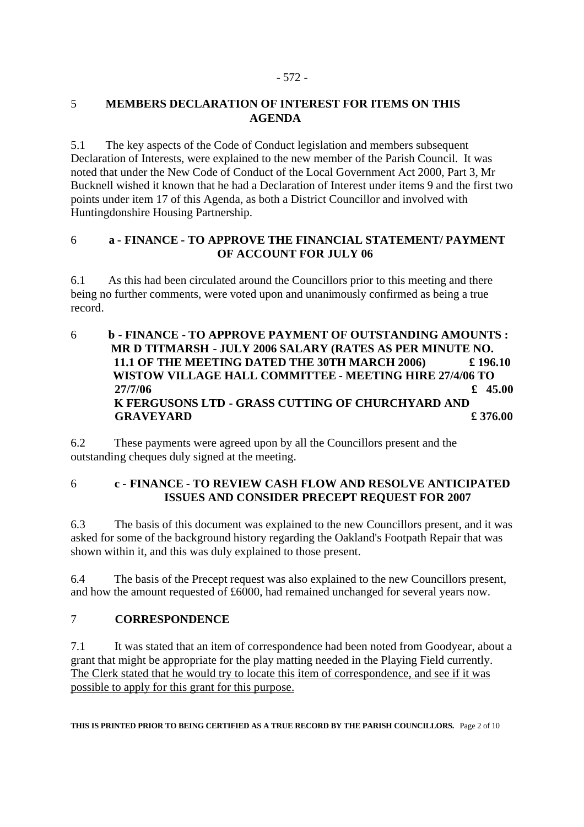#### 5 **MEMBERS DECLARATION OF INTEREST FOR ITEMS ON THIS AGENDA**

5.1 The key aspects of the Code of Conduct legislation and members subsequent Declaration of Interests, were explained to the new member of the Parish Council. It was noted that under the New Code of Conduct of the Local Government Act 2000, Part 3, Mr Bucknell wished it known that he had a Declaration of Interest under items 9 and the first two points under item 17 of this Agenda, as both a District Councillor and involved with Huntingdonshire Housing Partnership.

#### 6 **a - FINANCE - TO APPROVE THE FINANCIAL STATEMENT/ PAYMENT OF ACCOUNT FOR JULY 06**

6.1 As this had been circulated around the Councillors prior to this meeting and there being no further comments, were voted upon and unanimously confirmed as being a true record.

6 **b - FINANCE - TO APPROVE PAYMENT OF OUTSTANDING AMOUNTS : MR D TITMARSH - JULY 2006 SALARY (RATES AS PER MINUTE NO. 11.1 OF THE MEETING DATED THE 30TH MARCH 2006) £ 196.10 WISTOW VILLAGE HALL COMMITTEE - MEETING HIRE 27/4/06 TO 27/7/06 £ 45.00 K FERGUSONS LTD - GRASS CUTTING OF CHURCHYARD AND GRAVEYARD £ 376.00** 

6.2 These payments were agreed upon by all the Councillors present and the outstanding cheques duly signed at the meeting.

## 6 **c - FINANCE - TO REVIEW CASH FLOW AND RESOLVE ANTICIPATED ISSUES AND CONSIDER PRECEPT REQUEST FOR 2007**

6.3 The basis of this document was explained to the new Councillors present, and it was asked for some of the background history regarding the Oakland's Footpath Repair that was shown within it, and this was duly explained to those present.

6.4 The basis of the Precept request was also explained to the new Councillors present, and how the amount requested of £6000, had remained unchanged for several years now.

## 7 **CORRESPONDENCE**

7.1 It was stated that an item of correspondence had been noted from Goodyear, about a grant that might be appropriate for the play matting needed in the Playing Field currently. The Clerk stated that he would try to locate this item of correspondence, and see if it was possible to apply for this grant for this purpose.

**THIS IS PRINTED PRIOR TO BEING CERTIFIED AS A TRUE RECORD BY THE PARISH COUNCILLORS.** Page 2 of 10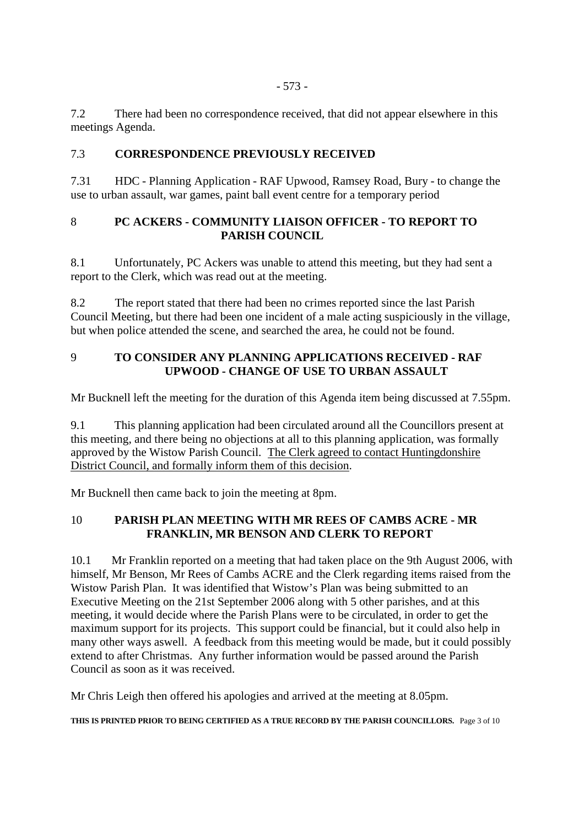7.2 There had been no correspondence received, that did not appear elsewhere in this meetings Agenda.

#### 7.3 **CORRESPONDENCE PREVIOUSLY RECEIVED**

7.31 HDC - Planning Application - RAF Upwood, Ramsey Road, Bury - to change the use to urban assault, war games, paint ball event centre for a temporary period

#### 8 **PC ACKERS - COMMUNITY LIAISON OFFICER - TO REPORT TO PARISH COUNCIL**

8.1 Unfortunately, PC Ackers was unable to attend this meeting, but they had sent a report to the Clerk, which was read out at the meeting.

8.2 The report stated that there had been no crimes reported since the last Parish Council Meeting, but there had been one incident of a male acting suspiciously in the village, but when police attended the scene, and searched the area, he could not be found.

## 9 **TO CONSIDER ANY PLANNING APPLICATIONS RECEIVED - RAF UPWOOD - CHANGE OF USE TO URBAN ASSAULT**

Mr Bucknell left the meeting for the duration of this Agenda item being discussed at 7.55pm.

9.1 This planning application had been circulated around all the Councillors present at this meeting, and there being no objections at all to this planning application, was formally approved by the Wistow Parish Council. The Clerk agreed to contact Huntingdonshire District Council, and formally inform them of this decision.

Mr Bucknell then came back to join the meeting at 8pm.

## 10 **PARISH PLAN MEETING WITH MR REES OF CAMBS ACRE - MR FRANKLIN, MR BENSON AND CLERK TO REPORT**

10.1 Mr Franklin reported on a meeting that had taken place on the 9th August 2006, with himself, Mr Benson, Mr Rees of Cambs ACRE and the Clerk regarding items raised from the Wistow Parish Plan. It was identified that Wistow's Plan was being submitted to an Executive Meeting on the 21st September 2006 along with 5 other parishes, and at this meeting, it would decide where the Parish Plans were to be circulated, in order to get the maximum support for its projects. This support could be financial, but it could also help in many other ways aswell. A feedback from this meeting would be made, but it could possibly extend to after Christmas. Any further information would be passed around the Parish Council as soon as it was received.

Mr Chris Leigh then offered his apologies and arrived at the meeting at 8.05pm.

**THIS IS PRINTED PRIOR TO BEING CERTIFIED AS A TRUE RECORD BY THE PARISH COUNCILLORS.** Page 3 of 10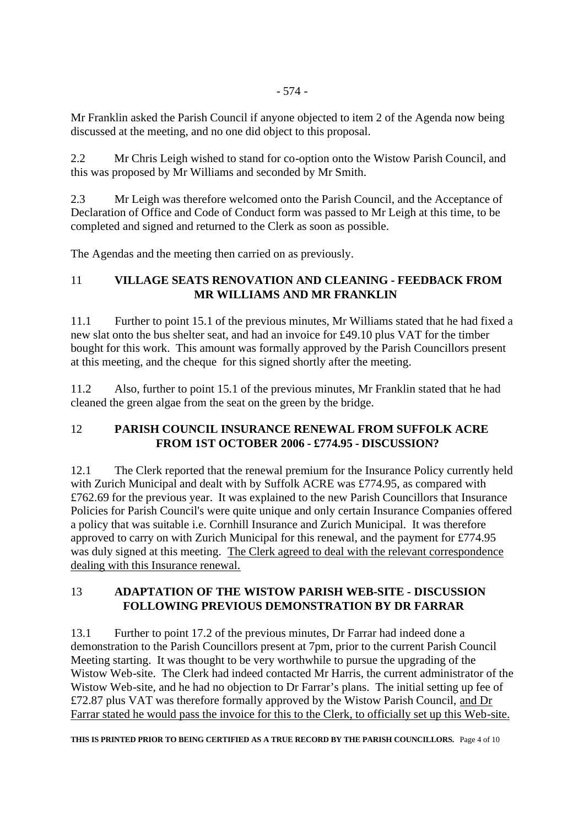Mr Franklin asked the Parish Council if anyone objected to item 2 of the Agenda now being discussed at the meeting, and no one did object to this proposal.

2.2 Mr Chris Leigh wished to stand for co-option onto the Wistow Parish Council, and this was proposed by Mr Williams and seconded by Mr Smith.

2.3 Mr Leigh was therefore welcomed onto the Parish Council, and the Acceptance of Declaration of Office and Code of Conduct form was passed to Mr Leigh at this time, to be completed and signed and returned to the Clerk as soon as possible.

The Agendas and the meeting then carried on as previously.

## 11 **VILLAGE SEATS RENOVATION AND CLEANING - FEEDBACK FROM MR WILLIAMS AND MR FRANKLIN**

11.1 Further to point 15.1 of the previous minutes, Mr Williams stated that he had fixed a new slat onto the bus shelter seat, and had an invoice for £49.10 plus VAT for the timber bought for this work. This amount was formally approved by the Parish Councillors present at this meeting, and the cheque for this signed shortly after the meeting.

11.2 Also, further to point 15.1 of the previous minutes, Mr Franklin stated that he had cleaned the green algae from the seat on the green by the bridge.

## 12 **PARISH COUNCIL INSURANCE RENEWAL FROM SUFFOLK ACRE FROM 1ST OCTOBER 2006 - £774.95 - DISCUSSION?**

12.1 The Clerk reported that the renewal premium for the Insurance Policy currently held with Zurich Municipal and dealt with by Suffolk ACRE was £774.95, as compared with £762.69 for the previous year. It was explained to the new Parish Councillors that Insurance Policies for Parish Council's were quite unique and only certain Insurance Companies offered a policy that was suitable i.e. Cornhill Insurance and Zurich Municipal. It was therefore approved to carry on with Zurich Municipal for this renewal, and the payment for £774.95 was duly signed at this meeting. The Clerk agreed to deal with the relevant correspondence dealing with this Insurance renewal.

## 13 **ADAPTATION OF THE WISTOW PARISH WEB-SITE - DISCUSSION FOLLOWING PREVIOUS DEMONSTRATION BY DR FARRAR**

13.1 Further to point 17.2 of the previous minutes, Dr Farrar had indeed done a demonstration to the Parish Councillors present at 7pm, prior to the current Parish Council Meeting starting. It was thought to be very worthwhile to pursue the upgrading of the Wistow Web-site. The Clerk had indeed contacted Mr Harris, the current administrator of the Wistow Web-site, and he had no objection to Dr Farrar's plans. The initial setting up fee of £72.87 plus VAT was therefore formally approved by the Wistow Parish Council, and Dr Farrar stated he would pass the invoice for this to the Clerk, to officially set up this Web-site.

**THIS IS PRINTED PRIOR TO BEING CERTIFIED AS A TRUE RECORD BY THE PARISH COUNCILLORS.** Page 4 of 10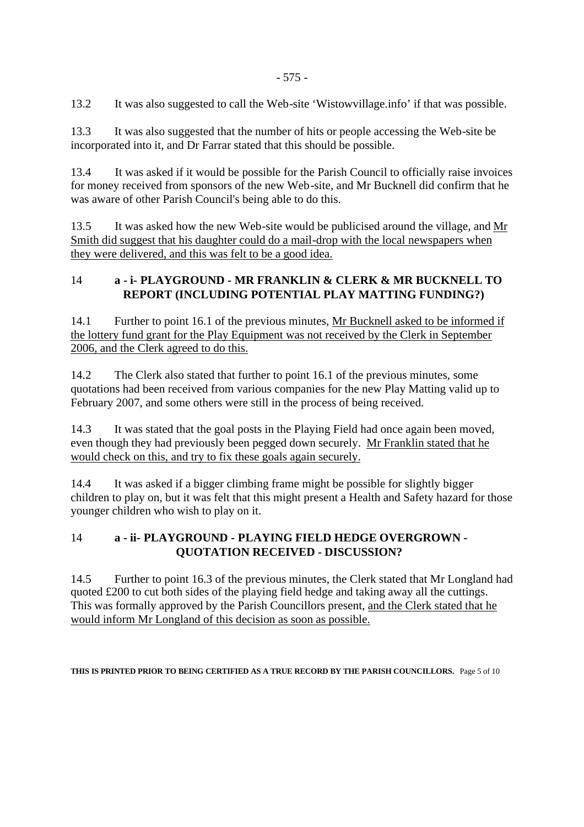13.2 It was also suggested to call the Web-site 'Wistowvillage.info' if that was possible.

13.3 It was also suggested that the number of hits or people accessing the Web-site be incorporated into it, and Dr Farrar stated that this should be possible.

13.4 It was asked if it would be possible for the Parish Council to officially raise invoices for money received from sponsors of the new Web-site, and Mr Bucknell did confirm that he was aware of other Parish Council's being able to do this.

13.5 It was asked how the new Web-site would be publicised around the village, and Mr Smith did suggest that his daughter could do a mail-drop with the local newspapers when they were delivered, and this was felt to be a good idea.

#### 14 **a - i- PLAYGROUND - MR FRANKLIN & CLERK & MR BUCKNELL TO REPORT (INCLUDING POTENTIAL PLAY MATTING FUNDING?)**

14.1 Further to point 16.1 of the previous minutes, Mr Bucknell asked to be informed if the lottery fund grant for the Play Equipment was not received by the Clerk in September 2006, and the Clerk agreed to do this.

14.2 The Clerk also stated that further to point 16.1 of the previous minutes, some quotations had been received from various companies for the new Play Matting valid up to February 2007, and some others were still in the process of being received.

14.3 It was stated that the goal posts in the Playing Field had once again been moved, even though they had previously been pegged down securely. Mr Franklin stated that he would check on this, and try to fix these goals again securely.

14.4 It was asked if a bigger climbing frame might be possible for slightly bigger children to play on, but it was felt that this might present a Health and Safety hazard for those younger children who wish to play on it.

## 14 **a - ii- PLAYGROUND - PLAYING FIELD HEDGE OVERGROWN - QUOTATION RECEIVED - DISCUSSION?**

14.5 Further to point 16.3 of the previous minutes, the Clerk stated that Mr Longland had quoted £200 to cut both sides of the playing field hedge and taking away all the cuttings. This was formally approved by the Parish Councillors present, and the Clerk stated that he would inform Mr Longland of this decision as soon as possible.

#### **THIS IS PRINTED PRIOR TO BEING CERTIFIED AS A TRUE RECORD BY THE PARISH COUNCILLORS.** Page 5 of 10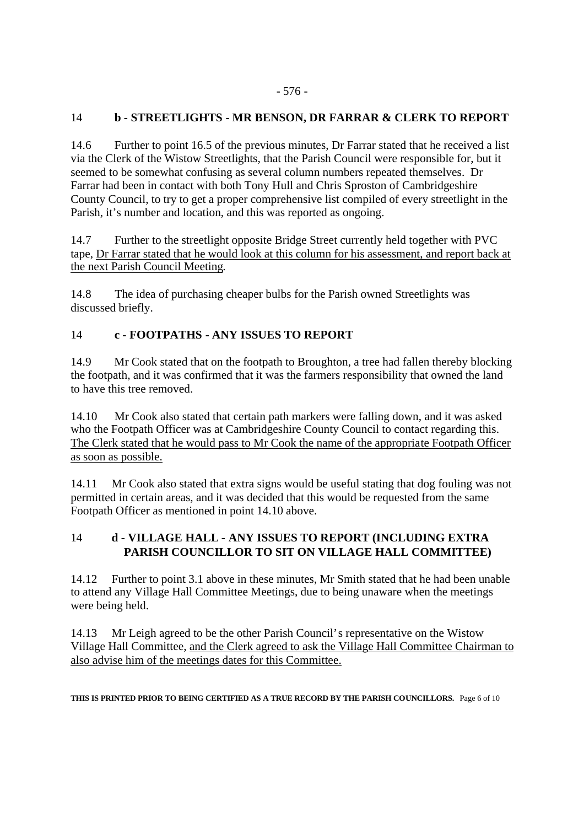#### - 576 -

#### 14 **b - STREETLIGHTS - MR BENSON, DR FARRAR & CLERK TO REPORT**

14.6 Further to point 16.5 of the previous minutes, Dr Farrar stated that he received a list via the Clerk of the Wistow Streetlights, that the Parish Council were responsible for, but it seemed to be somewhat confusing as several column numbers repeated themselves. Dr Farrar had been in contact with both Tony Hull and Chris Sproston of Cambridgeshire County Council, to try to get a proper comprehensive list compiled of every streetlight in the Parish, it's number and location, and this was reported as ongoing.

14.7 Further to the streetlight opposite Bridge Street currently held together with PVC tape, Dr Farrar stated that he would look at this column for his assessment, and report back at the next Parish Council Meeting.

14.8 The idea of purchasing cheaper bulbs for the Parish owned Streetlights was discussed briefly.

#### 14 **c - FOOTPATHS - ANY ISSUES TO REPORT**

14.9 Mr Cook stated that on the footpath to Broughton, a tree had fallen thereby blocking the footpath, and it was confirmed that it was the farmers responsibility that owned the land to have this tree removed.

14.10 Mr Cook also stated that certain path markers were falling down, and it was asked who the Footpath Officer was at Cambridgeshire County Council to contact regarding this. The Clerk stated that he would pass to Mr Cook the name of the appropriate Footpath Officer as soon as possible.

14.11 Mr Cook also stated that extra signs would be useful stating that dog fouling was not permitted in certain areas, and it was decided that this would be requested from the same Footpath Officer as mentioned in point 14.10 above.

#### 14 **d - VILLAGE HALL - ANY ISSUES TO REPORT (INCLUDING EXTRA PARISH COUNCILLOR TO SIT ON VILLAGE HALL COMMITTEE)**

14.12 Further to point 3.1 above in these minutes, Mr Smith stated that he had been unable to attend any Village Hall Committee Meetings, due to being unaware when the meetings were being held.

14.13 Mr Leigh agreed to be the other Parish Council's representative on the Wistow Village Hall Committee, and the Clerk agreed to ask the Village Hall Committee Chairman to also advise him of the meetings dates for this Committee.

#### **THIS IS PRINTED PRIOR TO BEING CERTIFIED AS A TRUE RECORD BY THE PARISH COUNCILLORS.** Page 6 of 10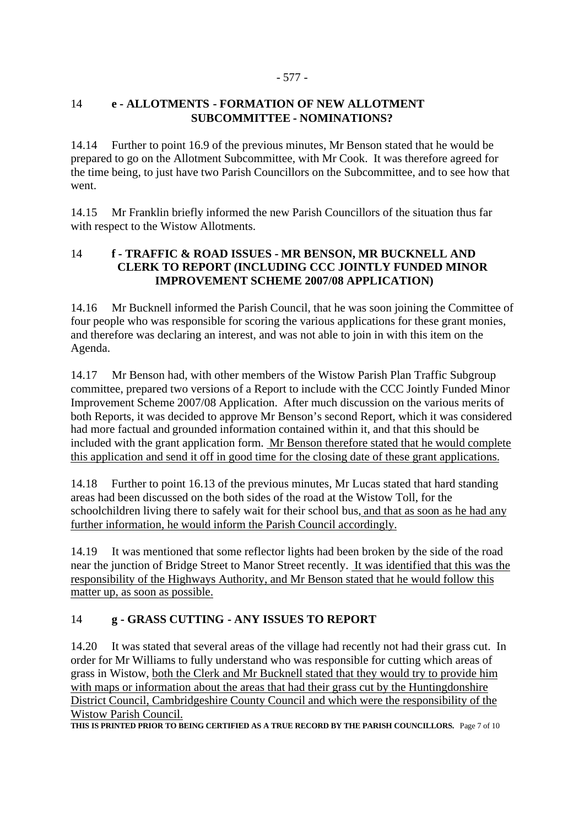#### - 577 -

#### 14 **e - ALLOTMENTS - FORMATION OF NEW ALLOTMENT SUBCOMMITTEE - NOMINATIONS?**

14.14 Further to point 16.9 of the previous minutes, Mr Benson stated that he would be prepared to go on the Allotment Subcommittee, with Mr Cook. It was therefore agreed for the time being, to just have two Parish Councillors on the Subcommittee, and to see how that went.

14.15 Mr Franklin briefly informed the new Parish Councillors of the situation thus far with respect to the Wistow Allotments.

#### 14 **f - TRAFFIC & ROAD ISSUES - MR BENSON, MR BUCKNELL AND CLERK TO REPORT (INCLUDING CCC JOINTLY FUNDED MINOR IMPROVEMENT SCHEME 2007/08 APPLICATION)**

14.16 Mr Bucknell informed the Parish Council, that he was soon joining the Committee of four people who was responsible for scoring the various applications for these grant monies, and therefore was declaring an interest, and was not able to join in with this item on the Agenda.

14.17 Mr Benson had, with other members of the Wistow Parish Plan Traffic Subgroup committee, prepared two versions of a Report to include with the CCC Jointly Funded Minor Improvement Scheme 2007/08 Application. After much discussion on the various merits of both Reports, it was decided to approve Mr Benson's second Report, which it was considered had more factual and grounded information contained within it, and that this should be included with the grant application form. Mr Benson therefore stated that he would complete this application and send it off in good time for the closing date of these grant applications.

14.18 Further to point 16.13 of the previous minutes, Mr Lucas stated that hard standing areas had been discussed on the both sides of the road at the Wistow Toll, for the schoolchildren living there to safely wait for their school bus, and that as soon as he had any further information, he would inform the Parish Council accordingly.

14.19 It was mentioned that some reflector lights had been broken by the side of the road near the junction of Bridge Street to Manor Street recently. It was identified that this was the responsibility of the Highways Authority, and Mr Benson stated that he would follow this matter up, as soon as possible.

## 14 **g - GRASS CUTTING - ANY ISSUES TO REPORT**

14.20 It was stated that several areas of the village had recently not had their grass cut. In order for Mr Williams to fully understand who was responsible for cutting which areas of grass in Wistow, both the Clerk and Mr Bucknell stated that they would try to provide him with maps or information about the areas that had their grass cut by the Huntingdonshire District Council, Cambridgeshire County Council and which were the responsibility of the Wistow Parish Council.

**THIS IS PRINTED PRIOR TO BEING CERTIFIED AS A TRUE RECORD BY THE PARISH COUNCILLORS.** Page 7 of 10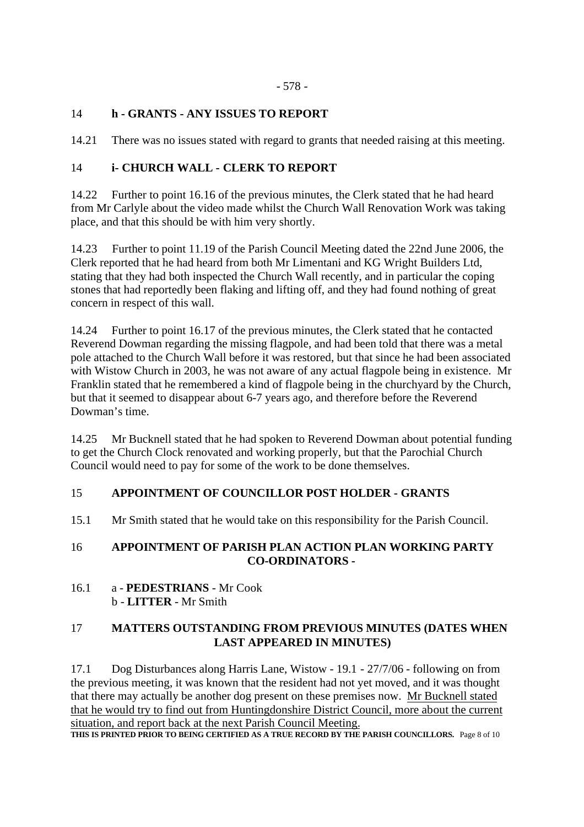#### 14 **h - GRANTS - ANY ISSUES TO REPORT**

14.21 There was no issues stated with regard to grants that needed raising at this meeting.

#### 14 **i- CHURCH WALL - CLERK TO REPORT**

14.22 Further to point 16.16 of the previous minutes, the Clerk stated that he had heard from Mr Carlyle about the video made whilst the Church Wall Renovation Work was taking place, and that this should be with him very shortly.

14.23 Further to point 11.19 of the Parish Council Meeting dated the 22nd June 2006, the Clerk reported that he had heard from both Mr Limentani and KG Wright Builders Ltd, stating that they had both inspected the Church Wall recently, and in particular the coping stones that had reportedly been flaking and lifting off, and they had found nothing of great concern in respect of this wall.

14.24 Further to point 16.17 of the previous minutes, the Clerk stated that he contacted Reverend Dowman regarding the missing flagpole, and had been told that there was a metal pole attached to the Church Wall before it was restored, but that since he had been associated with Wistow Church in 2003, he was not aware of any actual flagpole being in existence. Mr Franklin stated that he remembered a kind of flagpole being in the churchyard by the Church, but that it seemed to disappear about 6-7 years ago, and therefore before the Reverend Dowman's time.

14.25 Mr Bucknell stated that he had spoken to Reverend Dowman about potential funding to get the Church Clock renovated and working properly, but that the Parochial Church Council would need to pay for some of the work to be done themselves.

#### 15 **APPOINTMENT OF COUNCILLOR POST HOLDER - GRANTS**

15.1 Mr Smith stated that he would take on this responsibility for the Parish Council.

#### 16 **APPOINTMENT OF PARISH PLAN ACTION PLAN WORKING PARTY CO-ORDINATORS -**

16.1 a - **PEDESTRIANS** - Mr Cook b - **LITTER** - Mr Smith

#### 17 **MATTERS OUTSTANDING FROM PREVIOUS MINUTES (DATES WHEN LAST APPEARED IN MINUTES)**

17.1 Dog Disturbances along Harris Lane, Wistow - 19.1 - 27/7/06 - following on from the previous meeting, it was known that the resident had not yet moved, and it was thought that there may actually be another dog present on these premises now. Mr Bucknell stated that he would try to find out from Huntingdonshire District Council, more about the current situation, and report back at the next Parish Council Meeting.

**THIS IS PRINTED PRIOR TO BEING CERTIFIED AS A TRUE RECORD BY THE PARISH COUNCILLORS.** Page 8 of 10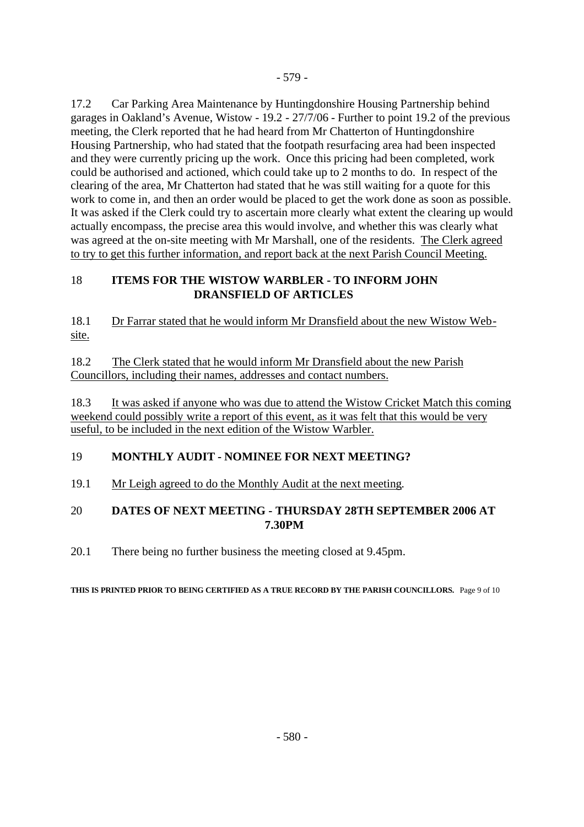17.2 Car Parking Area Maintenance by Huntingdonshire Housing Partnership behind garages in Oakland's Avenue, Wistow - 19.2 - 27/7/06 - Further to point 19.2 of the previous meeting, the Clerk reported that he had heard from Mr Chatterton of Huntingdonshire Housing Partnership, who had stated that the footpath resurfacing area had been inspected and they were currently pricing up the work. Once this pricing had been completed, work could be authorised and actioned, which could take up to 2 months to do. In respect of the clearing of the area, Mr Chatterton had stated that he was still waiting for a quote for this work to come in, and then an order would be placed to get the work done as soon as possible. It was asked if the Clerk could try to ascertain more clearly what extent the clearing up would actually encompass, the precise area this would involve, and whether this was clearly what was agreed at the on-site meeting with Mr Marshall, one of the residents. The Clerk agreed to try to get this further information, and report back at the next Parish Council Meeting.

## 18 **ITEMS FOR THE WISTOW WARBLER - TO INFORM JOHN DRANSFIELD OF ARTICLES**

18.1 Dr Farrar stated that he would inform Mr Dransfield about the new Wistow Website.

18.2 The Clerk stated that he would inform Mr Dransfield about the new Parish Councillors, including their names, addresses and contact numbers.

18.3 It was asked if anyone who was due to attend the Wistow Cricket Match this coming weekend could possibly write a report of this event, as it was felt that this would be very useful, to be included in the next edition of the Wistow Warbler.

# 19 **MONTHLY AUDIT - NOMINEE FOR NEXT MEETING?**

19.1 Mr Leigh agreed to do the Monthly Audit at the next meeting.

## 20 **DATES OF NEXT MEETING - THURSDAY 28TH SEPTEMBER 2006 AT 7.30PM**

20.1 There being no further business the meeting closed at 9.45pm.

#### **THIS IS PRINTED PRIOR TO BEING CERTIFIED AS A TRUE RECORD BY THE PARISH COUNCILLORS.** Page 9 of 10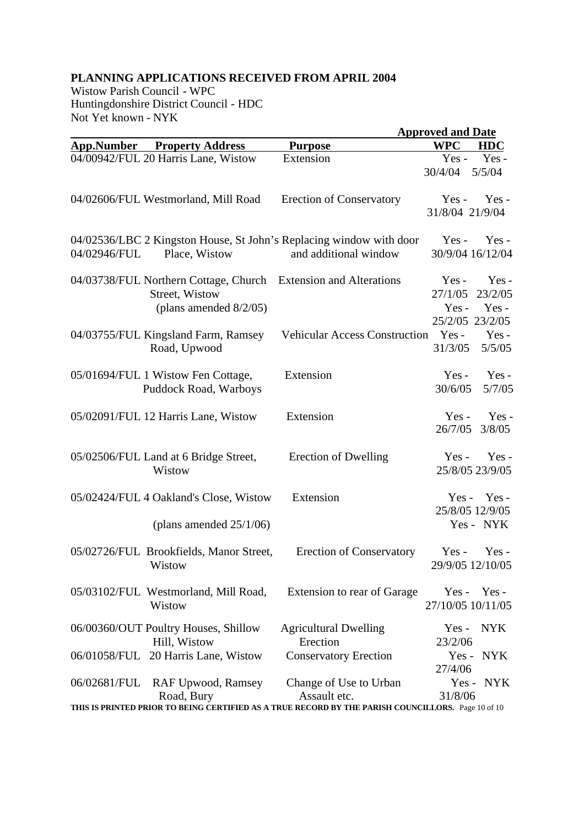## **PLANNING APPLICATIONS RECEIVED FROM APRIL 2004**

Wistow Parish Council - WPC Huntingdonshire District Council - HDC Not Yet known - NYK

| INUL TULAIIUWII - IN I IN |                                                                                                                |                                                                                                    | <b>Approved and Date</b>                                                       |
|---------------------------|----------------------------------------------------------------------------------------------------------------|----------------------------------------------------------------------------------------------------|--------------------------------------------------------------------------------|
| <b>App.Number</b>         | <b>Property Address</b>                                                                                        | <b>Purpose</b>                                                                                     | <b>WPC</b><br><b>HDC</b>                                                       |
|                           | 04/00942/FUL 20 Harris Lane, Wistow                                                                            | Extension                                                                                          | $Yes -$<br>Yes-<br>5/5/04<br>30/4/04                                           |
|                           | 04/02606/FUL Westmorland, Mill Road                                                                            | <b>Erection of Conservatory</b>                                                                    | $Yes -$<br>$Yes -$<br>31/8/04 21/9/04                                          |
| 04/02946/FUL              | Place, Wistow                                                                                                  | 04/02536/LBC 2 Kingston House, St John's Replacing window with door<br>and additional window       | $Yes -$<br>Yes-<br>30/9/04 16/12/04                                            |
|                           | 04/03738/FUL Northern Cottage, Church Extension and Alterations<br>Street, Wistow<br>(plans amended $8/2/05$ ) |                                                                                                    | Yes-<br>$Yes -$<br>23/2/05<br>27/1/05<br>$Yes -$<br>$Yes -$<br>25/2/05 23/2/05 |
|                           | 04/03755/FUL Kingsland Farm, Ramsey<br>Road, Upwood                                                            | <b>Vehicular Access Construction</b>                                                               | $Yes -$<br>Yes-<br>31/3/05<br>5/5/05                                           |
|                           | 05/01694/FUL 1 Wistow Fen Cottage,<br>Puddock Road, Warboys                                                    | Extension                                                                                          | Yes-<br>$Yes -$<br>30/6/05<br>5/7/05                                           |
|                           | 05/02091/FUL 12 Harris Lane, Wistow                                                                            | Extension                                                                                          | Yes-<br>$Yes -$<br>26/7/05<br>3/8/05                                           |
|                           | 05/02506/FUL Land at 6 Bridge Street,<br>Wistow                                                                | Erection of Dwelling                                                                               | $Yes -$<br>$Yes -$<br>25/8/05 23/9/05                                          |
|                           | 05/02424/FUL 4 Oakland's Close, Wistow                                                                         | Extension                                                                                          | $Yes -$<br>$Yes -$<br>25/8/05 12/9/05                                          |
|                           | (plans amended $25/1/06$ )                                                                                     |                                                                                                    | Yes - NYK                                                                      |
|                           | 05/02726/FUL Brookfields, Manor Street,<br>Wistow                                                              | <b>Erection of Conservatory</b>                                                                    | $Yes -$<br>$Yes -$<br>29/9/05 12/10/05                                         |
|                           | 05/03102/FUL Westmorland, Mill Road,<br>Wistow                                                                 | Extension to rear of Garage                                                                        | $Yes - Yes -$<br>27/10/05 10/11/05                                             |
|                           | 06/00360/OUT Poultry Houses, Shillow<br>Hill, Wistow                                                           | <b>Agricultural Dwelling</b><br>Erection                                                           | <b>NYK</b><br>$Yes -$<br>23/2/06                                               |
|                           | 06/01058/FUL 20 Harris Lane, Wistow                                                                            | <b>Conservatory Erection</b>                                                                       | Yes - NYK<br>27/4/06                                                           |
| 06/02681/FUL              | <b>RAF Upwood, Ramsey</b><br>Road, Bury                                                                        | Change of Use to Urban<br>Assault etc.                                                             | Yes - NYK<br>31/8/06                                                           |
|                           |                                                                                                                | THIS IS PRINTED PRIOR TO BEING CERTIFIED AS A TRUE RECORD BY THE PARISH COUNCILLORS. Page 10 of 10 |                                                                                |